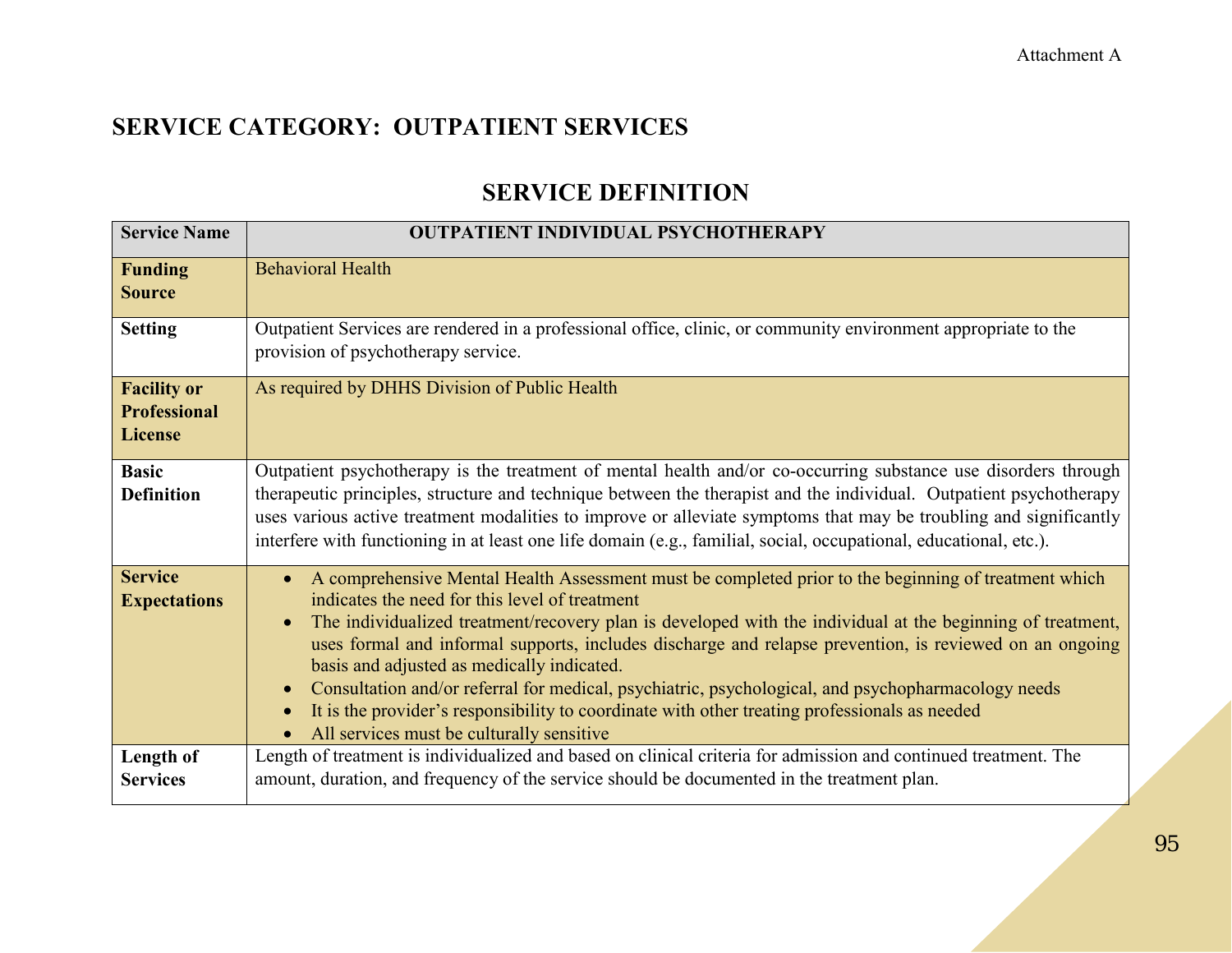## **SERVICE DEFINITION**

| <b>Service Name</b>                                         | <b>OUTPATIENT INDIVIDUAL PSYCHOTHERAPY</b>                                                                                                                                                                                                                                                                                                                                                                                                                                                                                                                                                                                                                                                                               |
|-------------------------------------------------------------|--------------------------------------------------------------------------------------------------------------------------------------------------------------------------------------------------------------------------------------------------------------------------------------------------------------------------------------------------------------------------------------------------------------------------------------------------------------------------------------------------------------------------------------------------------------------------------------------------------------------------------------------------------------------------------------------------------------------------|
| <b>Funding</b><br><b>Source</b>                             | <b>Behavioral Health</b>                                                                                                                                                                                                                                                                                                                                                                                                                                                                                                                                                                                                                                                                                                 |
| <b>Setting</b>                                              | Outpatient Services are rendered in a professional office, clinic, or community environment appropriate to the<br>provision of psychotherapy service.                                                                                                                                                                                                                                                                                                                                                                                                                                                                                                                                                                    |
| <b>Facility or</b><br><b>Professional</b><br><b>License</b> | As required by DHHS Division of Public Health                                                                                                                                                                                                                                                                                                                                                                                                                                                                                                                                                                                                                                                                            |
| <b>Basic</b><br><b>Definition</b>                           | Outpatient psychotherapy is the treatment of mental health and/or co-occurring substance use disorders through<br>therapeutic principles, structure and technique between the therapist and the individual. Outpatient psychotherapy<br>uses various active treatment modalities to improve or alleviate symptoms that may be troubling and significantly<br>interfere with functioning in at least one life domain (e.g., familial, social, occupational, educational, etc.).                                                                                                                                                                                                                                           |
| <b>Service</b><br><b>Expectations</b>                       | A comprehensive Mental Health Assessment must be completed prior to the beginning of treatment which<br>$\bullet$<br>indicates the need for this level of treatment<br>The individualized treatment/recovery plan is developed with the individual at the beginning of treatment,<br>$\bullet$<br>uses formal and informal supports, includes discharge and relapse prevention, is reviewed on an ongoing<br>basis and adjusted as medically indicated.<br>Consultation and/or referral for medical, psychiatric, psychological, and psychopharmacology needs<br>$\bullet$<br>It is the provider's responsibility to coordinate with other treating professionals as needed<br>All services must be culturally sensitive |
| Length of<br><b>Services</b>                                | Length of treatment is individualized and based on clinical criteria for admission and continued treatment. The<br>amount, duration, and frequency of the service should be documented in the treatment plan.                                                                                                                                                                                                                                                                                                                                                                                                                                                                                                            |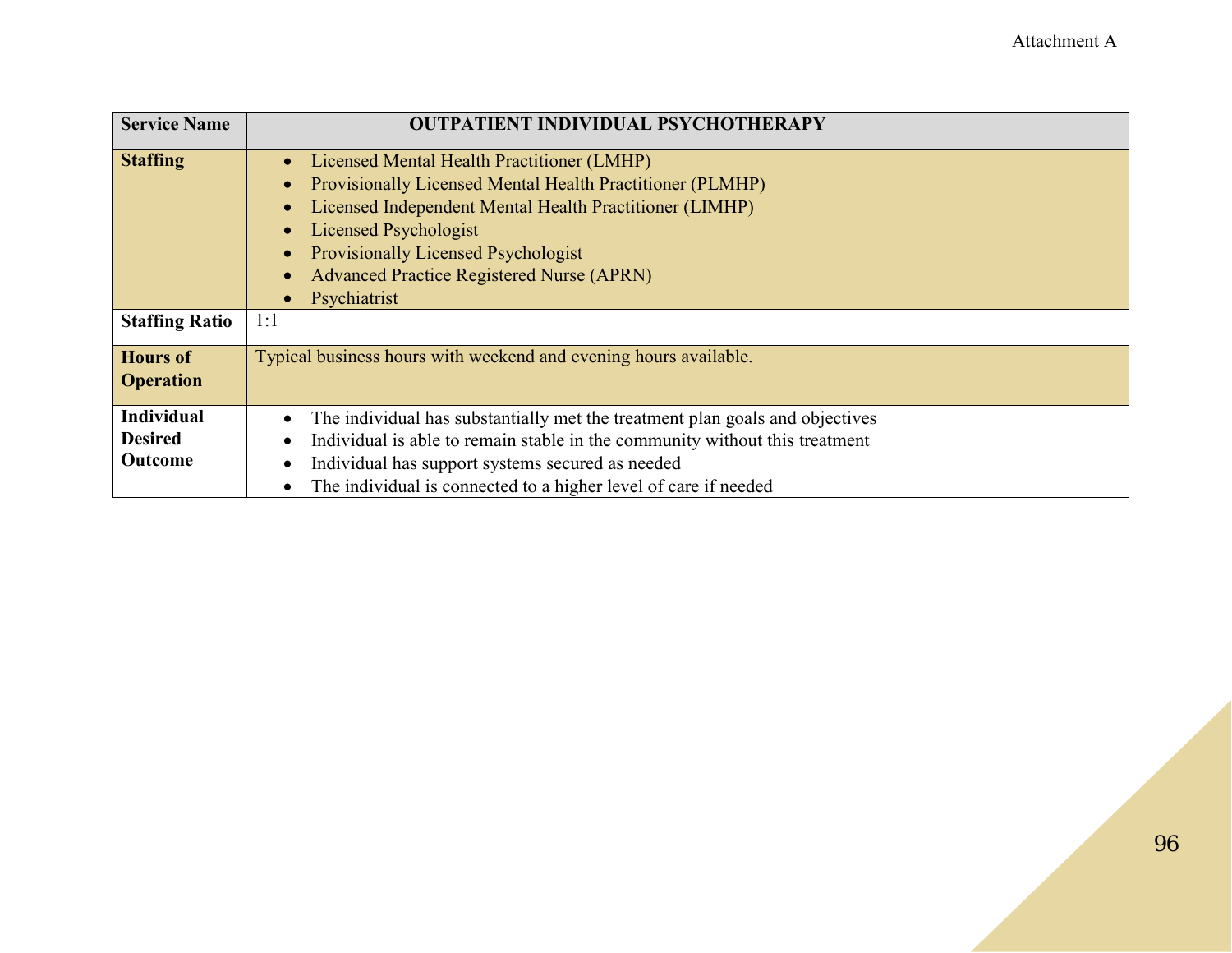| <b>Service Name</b>   | <b>OUTPATIENT INDIVIDUAL PSYCHOTHERAPY</b>                                   |
|-----------------------|------------------------------------------------------------------------------|
| <b>Staffing</b>       | Licensed Mental Health Practitioner (LMHP)                                   |
|                       | Provisionally Licensed Mental Health Practitioner (PLMHP)                    |
|                       | Licensed Independent Mental Health Practitioner (LIMHP)                      |
|                       | <b>Licensed Psychologist</b>                                                 |
|                       | <b>Provisionally Licensed Psychologist</b>                                   |
|                       | <b>Advanced Practice Registered Nurse (APRN)</b>                             |
|                       | Psychiatrist                                                                 |
| <b>Staffing Ratio</b> | 1:1                                                                          |
| <b>Hours of</b>       | Typical business hours with weekend and evening hours available.             |
| <b>Operation</b>      |                                                                              |
| <b>Individual</b>     | The individual has substantially met the treatment plan goals and objectives |
| <b>Desired</b>        | Individual is able to remain stable in the community without this treatment  |
| Outcome               | Individual has support systems secured as needed                             |
|                       | The individual is connected to a higher level of care if needed              |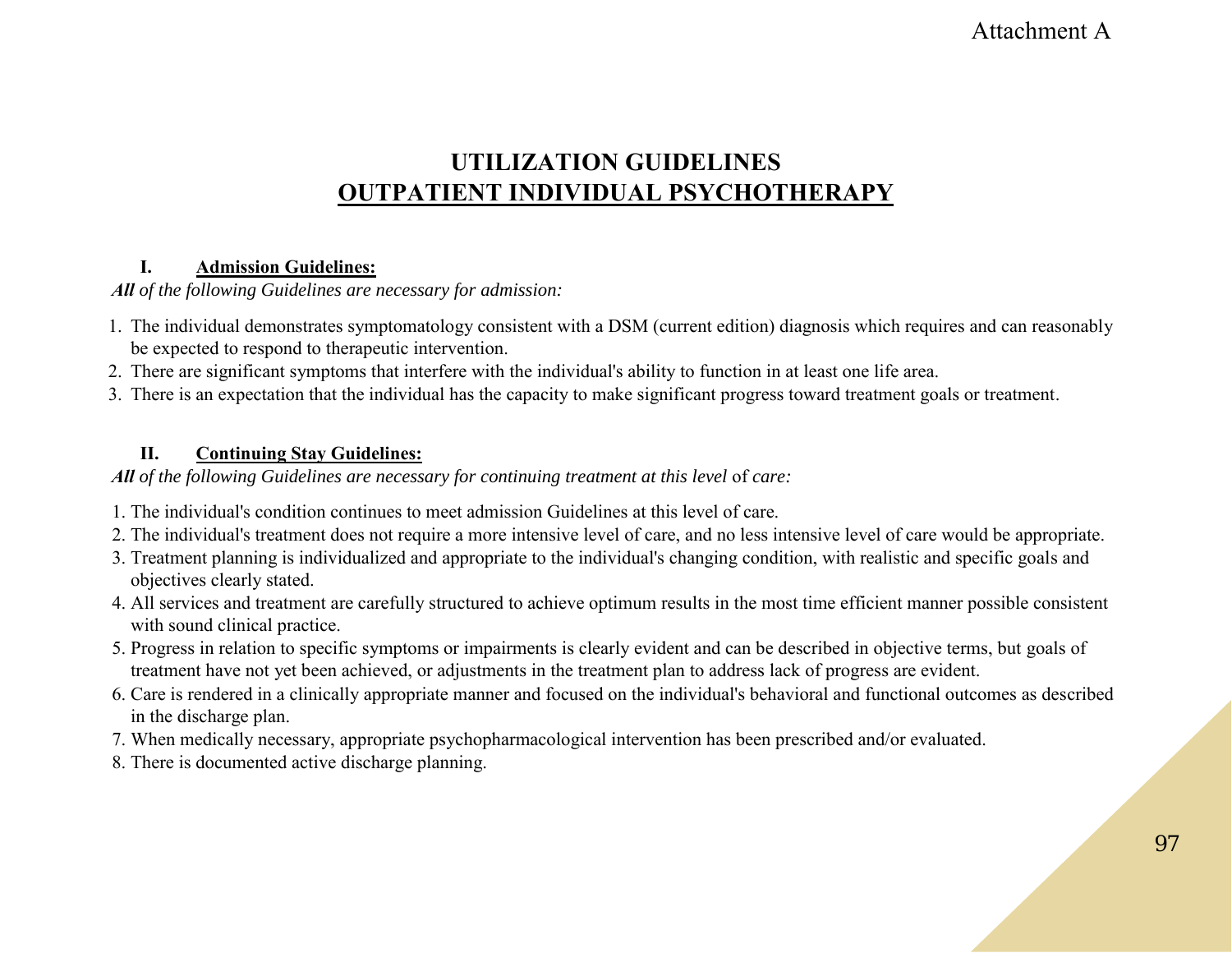### Attachment A

### **UTILIZATION GUIDELINES OUTPATIENT INDIVIDUAL PSYCHOTHERAPY**

#### **I. Admission Guidelines:**

*All of the following Guidelines are necessary for admission:*

- 1. The individual demonstrates symptomatology consistent with a DSM (current edition) diagnosis which requires and can reasonably be expected to respond to therapeutic intervention.
- 2. There are significant symptoms that interfere with the individual's ability to function in at least one life area.
- 3. There is an expectation that the individual has the capacity to make significant progress toward treatment goals or treatment.

#### **II. Continuing Stay Guidelines:**

All of the following Guidelines are necessary for continuing treatment at this level of care:

- 1. The individual's condition continues to meet admission Guidelines at this level of care.
- 2. The individual's treatment does not require a more intensive level of care, and no less intensive level of care would be appropriate.
- 3. Treatment planning is individualized and appropriate to the individual's changing condition, with realistic and specific goals and objectives clearly stated.
- 4. All services and treatment are carefully structured to achieve optimum results in the most time efficient manner possible consistent with sound clinical practice.
- 5. Progress in relation to specific symptoms or impairments is clearly evident and can be described in objective terms, but goals of treatment have not yet been achieved, or adjustments in the treatment plan to address lack of progress are evident.
- 6. Care is rendered in a clinically appropriate manner and focused on the individual's behavioral and functional outcomes as described in the discharge plan.
- 7. When medically necessary, appropriate psychopharmacological intervention has been prescribed and/or evaluated.
- 8. There is documented active discharge planning.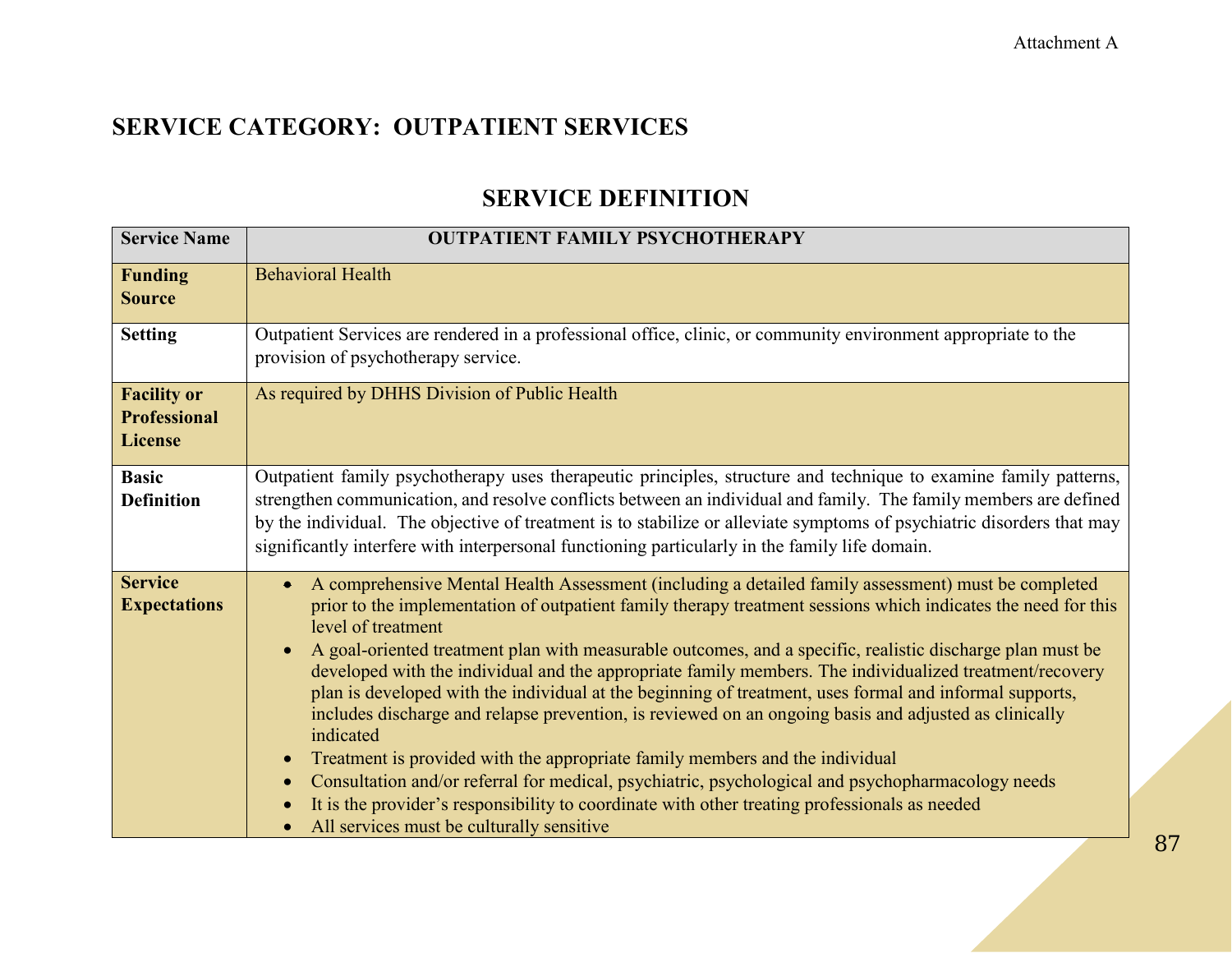### **SERVICE DEFINITION**

| <b>Service Name</b>                                         | <b>OUTPATIENT FAMILY PSYCHOTHERAPY</b>                                                                                                                                                                                                                                                                                                                                                                                                                                                                                                                                                                                                                                                                                                                                                                                                                                                                                                                                                                                                                           |
|-------------------------------------------------------------|------------------------------------------------------------------------------------------------------------------------------------------------------------------------------------------------------------------------------------------------------------------------------------------------------------------------------------------------------------------------------------------------------------------------------------------------------------------------------------------------------------------------------------------------------------------------------------------------------------------------------------------------------------------------------------------------------------------------------------------------------------------------------------------------------------------------------------------------------------------------------------------------------------------------------------------------------------------------------------------------------------------------------------------------------------------|
| <b>Funding</b><br><b>Source</b>                             | <b>Behavioral Health</b>                                                                                                                                                                                                                                                                                                                                                                                                                                                                                                                                                                                                                                                                                                                                                                                                                                                                                                                                                                                                                                         |
| <b>Setting</b>                                              | Outpatient Services are rendered in a professional office, clinic, or community environment appropriate to the<br>provision of psychotherapy service.                                                                                                                                                                                                                                                                                                                                                                                                                                                                                                                                                                                                                                                                                                                                                                                                                                                                                                            |
| <b>Facility or</b><br><b>Professional</b><br><b>License</b> | As required by DHHS Division of Public Health                                                                                                                                                                                                                                                                                                                                                                                                                                                                                                                                                                                                                                                                                                                                                                                                                                                                                                                                                                                                                    |
| <b>Basic</b><br><b>Definition</b>                           | Outpatient family psychotherapy uses therapeutic principles, structure and technique to examine family patterns,<br>strengthen communication, and resolve conflicts between an individual and family. The family members are defined<br>by the individual. The objective of treatment is to stabilize or alleviate symptoms of psychiatric disorders that may<br>significantly interfere with interpersonal functioning particularly in the family life domain.                                                                                                                                                                                                                                                                                                                                                                                                                                                                                                                                                                                                  |
| <b>Service</b><br><b>Expectations</b>                       | A comprehensive Mental Health Assessment (including a detailed family assessment) must be completed<br>prior to the implementation of outpatient family therapy treatment sessions which indicates the need for this<br>level of treatment<br>A goal-oriented treatment plan with measurable outcomes, and a specific, realistic discharge plan must be<br>developed with the individual and the appropriate family members. The individualized treatment/recovery<br>plan is developed with the individual at the beginning of treatment, uses formal and informal supports,<br>includes discharge and relapse prevention, is reviewed on an ongoing basis and adjusted as clinically<br>indicated<br>Treatment is provided with the appropriate family members and the individual<br>$\bullet$<br>Consultation and/or referral for medical, psychiatric, psychological and psychopharmacology needs<br>$\bullet$<br>It is the provider's responsibility to coordinate with other treating professionals as needed<br>All services must be culturally sensitive |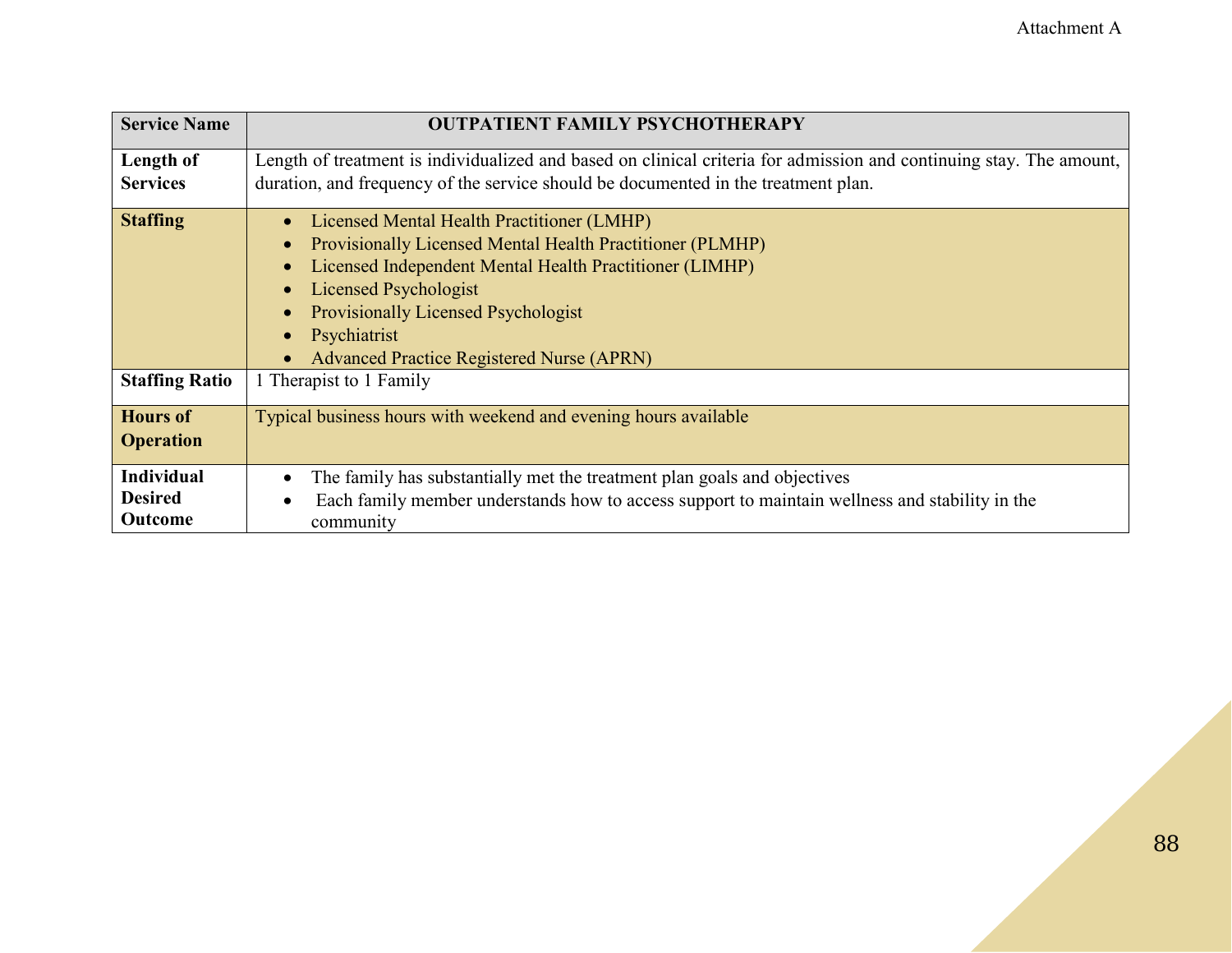| <b>Service Name</b>   | <b>OUTPATIENT FAMILY PSYCHOTHERAPY</b>                                                                              |
|-----------------------|---------------------------------------------------------------------------------------------------------------------|
| Length of             | Length of treatment is individualized and based on clinical criteria for admission and continuing stay. The amount, |
| <b>Services</b>       | duration, and frequency of the service should be documented in the treatment plan.                                  |
| <b>Staffing</b>       | Licensed Mental Health Practitioner (LMHP)                                                                          |
|                       | <b>Provisionally Licensed Mental Health Practitioner (PLMHP)</b>                                                    |
|                       | Licensed Independent Mental Health Practitioner (LIMHP)                                                             |
|                       | <b>Licensed Psychologist</b>                                                                                        |
|                       | <b>Provisionally Licensed Psychologist</b>                                                                          |
|                       | Psychiatrist                                                                                                        |
|                       | <b>Advanced Practice Registered Nurse (APRN)</b>                                                                    |
| <b>Staffing Ratio</b> | 1 Therapist to 1 Family                                                                                             |
| <b>Hours of</b>       | Typical business hours with weekend and evening hours available                                                     |
| <b>Operation</b>      |                                                                                                                     |
| <b>Individual</b>     | The family has substantially met the treatment plan goals and objectives                                            |
| <b>Desired</b>        | Each family member understands how to access support to maintain wellness and stability in the                      |
| Outcome               | community                                                                                                           |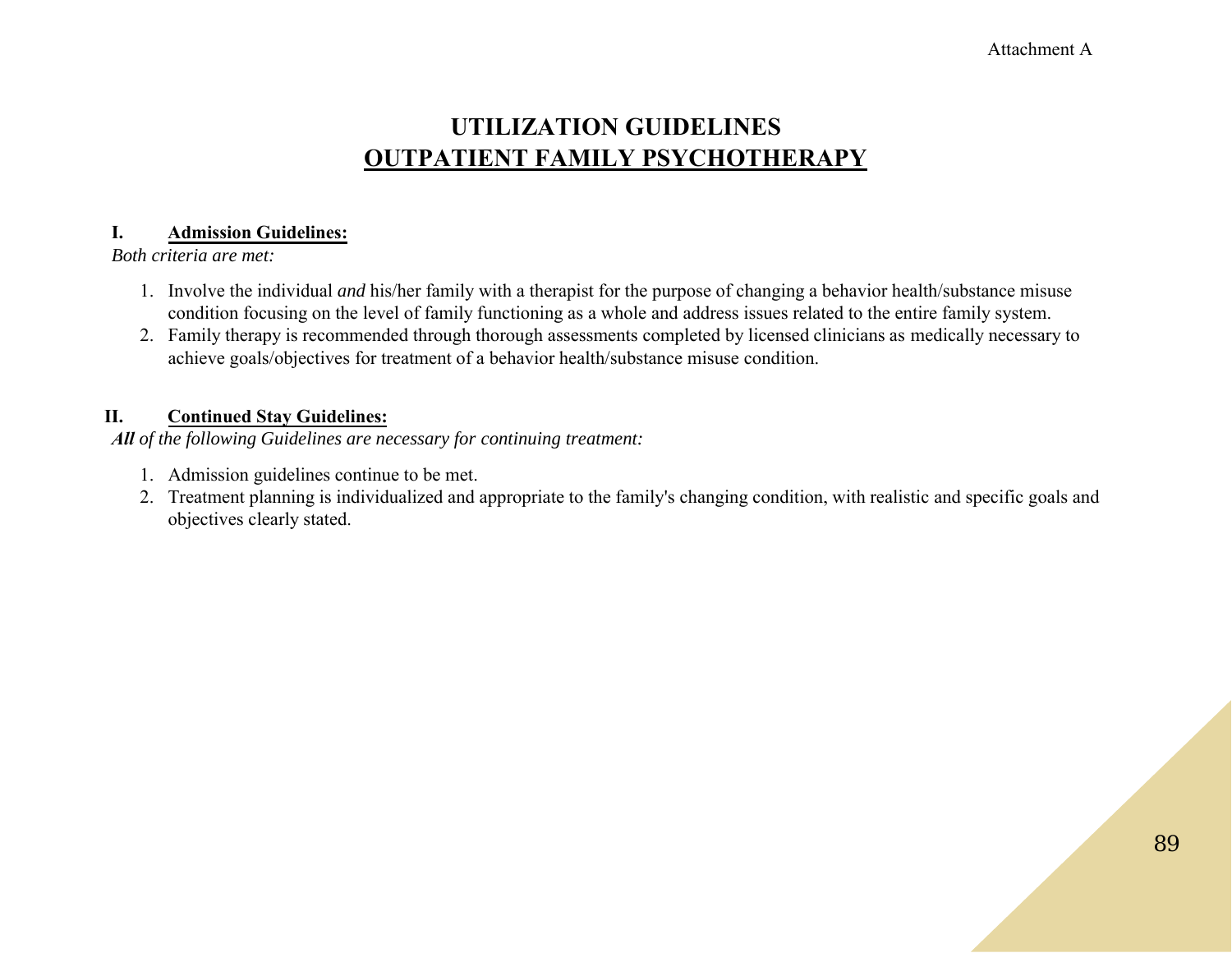### **UTILIZATION GUIDELINES OUTPATIENT FAMILY PSYCHOTHERAPY**

#### **I. Admission Guidelines:**

*Both criteria are met:*

- 1. Involve the individual *and* his/her family with a therapist for the purpose of changing a behavior health/substance misuse condition focusing on the level of family functioning as a whole and address issues related to the entire family system.
- 2. Family therapy is recommended through thorough assessments completed by licensed clinicians as medically necessary to achieve goals/objectives for treatment of a behavior health/substance misuse condition.

#### **II. Continued Stay Guidelines:**

*All of the following Guidelines are necessary for continuing treatment:*

- 1. Admission guidelines continue to be met.
- 2. Treatment planning is individualized and appropriate to the family's changing condition, with realistic and specific goals and objectives clearly stated.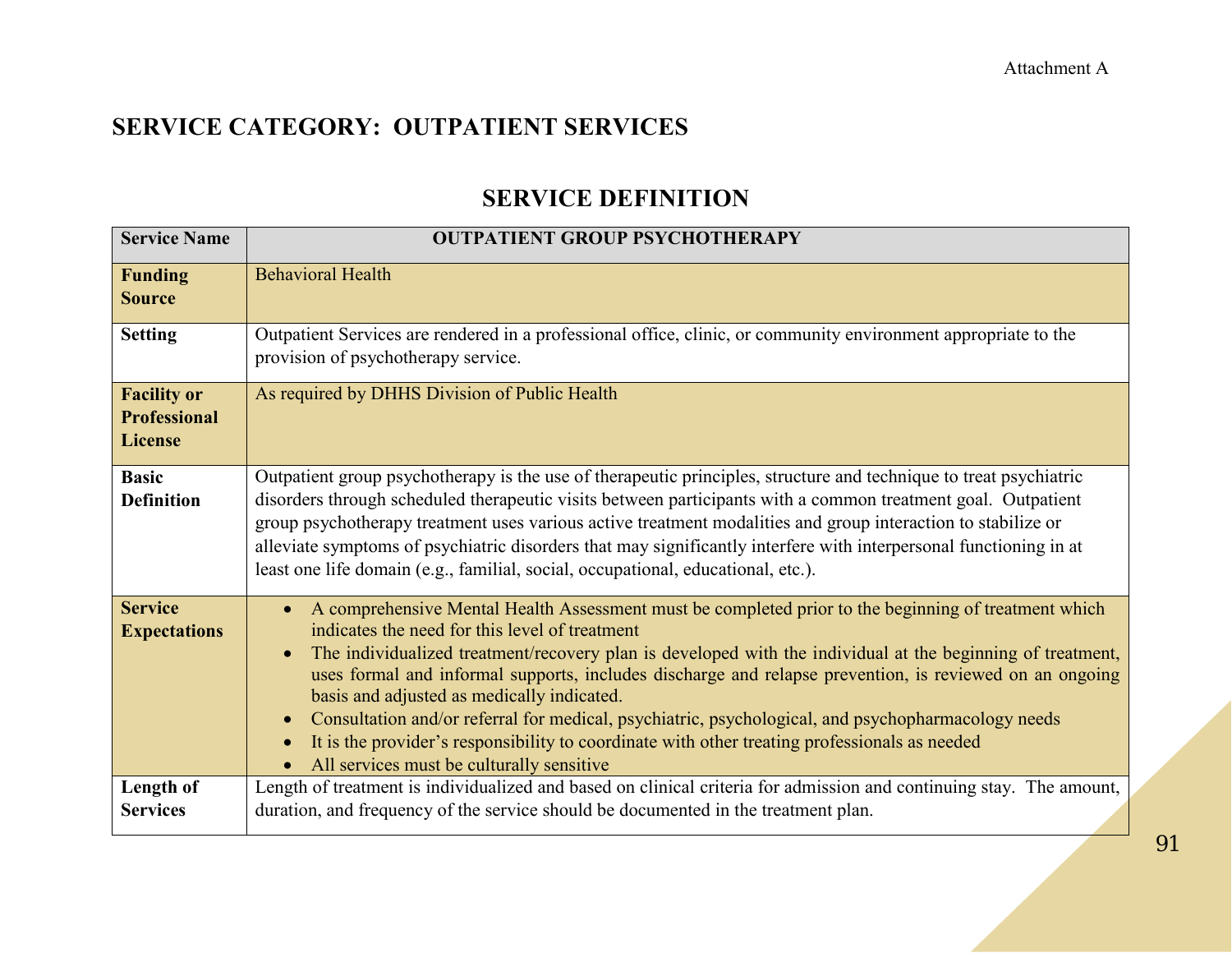### **SERVICE DEFINITION**

| <b>Service Name</b>                                         | <b>OUTPATIENT GROUP PSYCHOTHERAPY</b>                                                                                                                                                                                                                                                                                                                                                                                                                                                                                                                                                                                                                                             |
|-------------------------------------------------------------|-----------------------------------------------------------------------------------------------------------------------------------------------------------------------------------------------------------------------------------------------------------------------------------------------------------------------------------------------------------------------------------------------------------------------------------------------------------------------------------------------------------------------------------------------------------------------------------------------------------------------------------------------------------------------------------|
| <b>Funding</b><br><b>Source</b>                             | <b>Behavioral Health</b>                                                                                                                                                                                                                                                                                                                                                                                                                                                                                                                                                                                                                                                          |
| <b>Setting</b>                                              | Outpatient Services are rendered in a professional office, clinic, or community environment appropriate to the<br>provision of psychotherapy service.                                                                                                                                                                                                                                                                                                                                                                                                                                                                                                                             |
| <b>Facility or</b><br><b>Professional</b><br><b>License</b> | As required by DHHS Division of Public Health                                                                                                                                                                                                                                                                                                                                                                                                                                                                                                                                                                                                                                     |
| <b>Basic</b><br><b>Definition</b>                           | Outpatient group psychotherapy is the use of therapeutic principles, structure and technique to treat psychiatric<br>disorders through scheduled therapeutic visits between participants with a common treatment goal. Outpatient<br>group psychotherapy treatment uses various active treatment modalities and group interaction to stabilize or<br>alleviate symptoms of psychiatric disorders that may significantly interfere with interpersonal functioning in at<br>least one life domain (e.g., familial, social, occupational, educational, etc.).                                                                                                                        |
| <b>Service</b><br><b>Expectations</b>                       | A comprehensive Mental Health Assessment must be completed prior to the beginning of treatment which<br>indicates the need for this level of treatment<br>The individualized treatment/recovery plan is developed with the individual at the beginning of treatment,<br>uses formal and informal supports, includes discharge and relapse prevention, is reviewed on an ongoing<br>basis and adjusted as medically indicated.<br>Consultation and/or referral for medical, psychiatric, psychological, and psychopharmacology needs<br>It is the provider's responsibility to coordinate with other treating professionals as needed<br>All services must be culturally sensitive |
| Length of<br><b>Services</b>                                | Length of treatment is individualized and based on clinical criteria for admission and continuing stay. The amount,<br>duration, and frequency of the service should be documented in the treatment plan.                                                                                                                                                                                                                                                                                                                                                                                                                                                                         |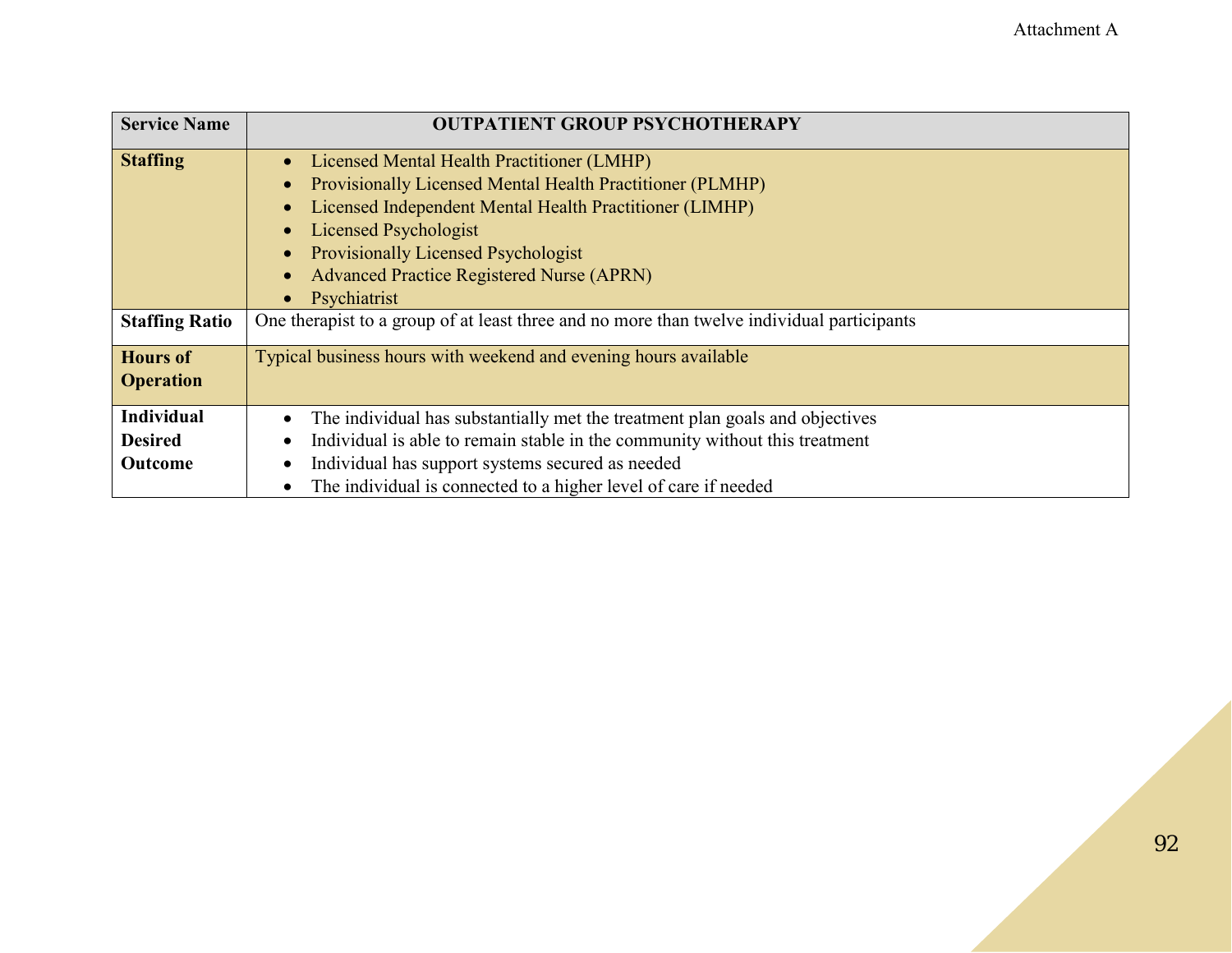| <b>Service Name</b>   | <b>OUTPATIENT GROUP PSYCHOTHERAPY</b>                                                      |
|-----------------------|--------------------------------------------------------------------------------------------|
| <b>Staffing</b>       | Licensed Mental Health Practitioner (LMHP)                                                 |
|                       | Provisionally Licensed Mental Health Practitioner (PLMHP)                                  |
|                       | Licensed Independent Mental Health Practitioner (LIMHP)                                    |
|                       | <b>Licensed Psychologist</b>                                                               |
|                       | <b>Provisionally Licensed Psychologist</b>                                                 |
|                       | <b>Advanced Practice Registered Nurse (APRN)</b>                                           |
|                       | Psychiatrist                                                                               |
| <b>Staffing Ratio</b> | One therapist to a group of at least three and no more than twelve individual participants |
| <b>Hours of</b>       | Typical business hours with weekend and evening hours available                            |
| <b>Operation</b>      |                                                                                            |
| <b>Individual</b>     | The individual has substantially met the treatment plan goals and objectives               |
| <b>Desired</b>        | Individual is able to remain stable in the community without this treatment                |
| <b>Outcome</b>        | Individual has support systems secured as needed                                           |
|                       | The individual is connected to a higher level of care if needed                            |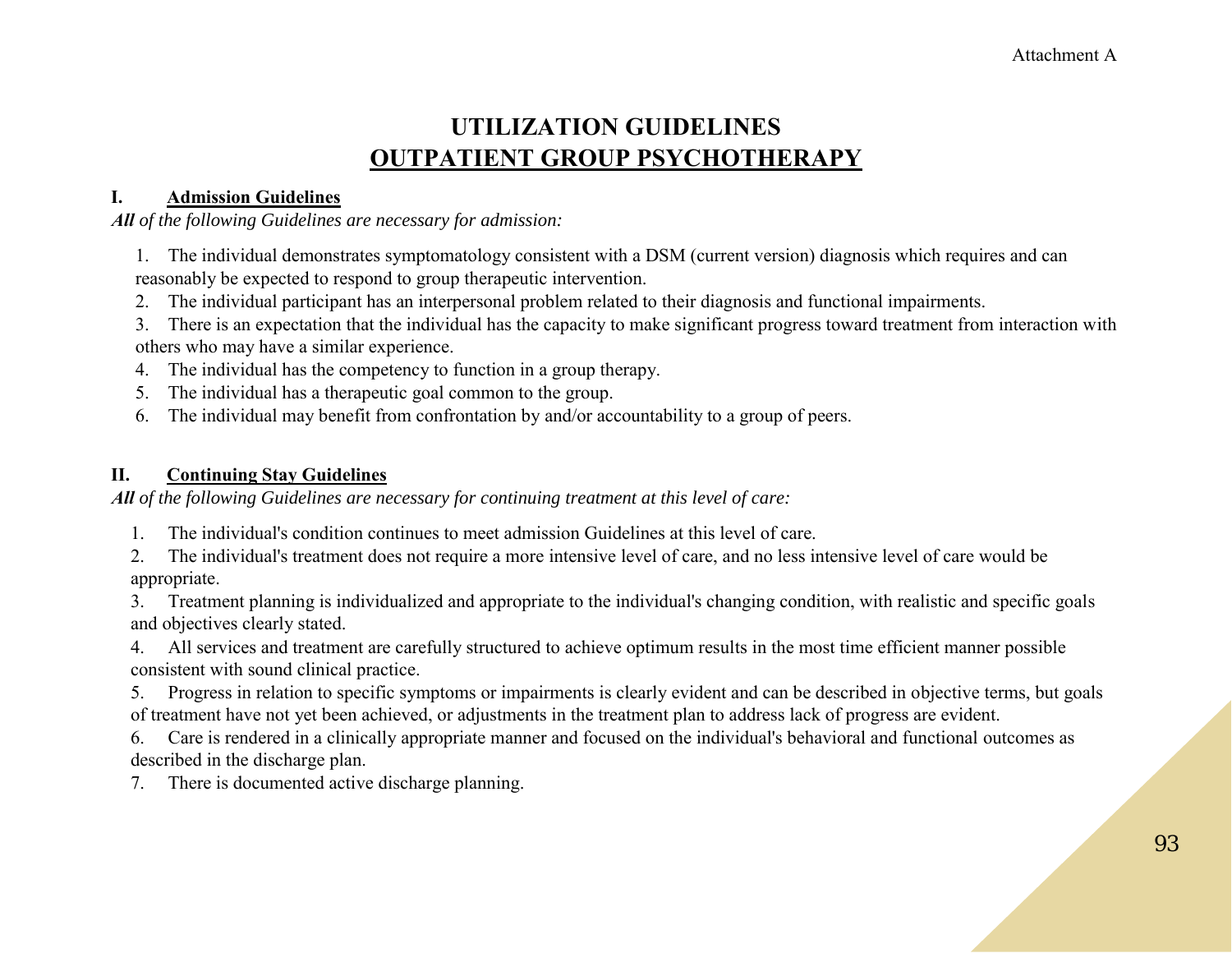## **UTILIZATION GUIDELINES OUTPATIENT GROUP PSYCHOTHERAPY**

#### **I. Admission Guidelines**

*All of the following Guidelines are necessary for admission:*

1. The individual demonstrates symptomatology consistent with a DSM (current version) diagnosis which requires and can reasonably be expected to respond to group therapeutic intervention.

2. The individual participant has an interpersonal problem related to their diagnosis and functional impairments.

3. There is an expectation that the individual has the capacity to make significant progress toward treatment from interaction with others who may have a similar experience.

4. The individual has the competency to function in a group therapy.

5. The individual has a therapeutic goal common to the group.

6. The individual may benefit from confrontation by and/or accountability to a group of peers.

#### **II. Continuing Stay Guidelines**

*All of the following Guidelines are necessary for continuing treatment at this level of care:*

1. The individual's condition continues to meet admission Guidelines at this level of care.

2. The individual's treatment does not require a more intensive level of care, and no less intensive level of care would be appropriate.

3. Treatment planning is individualized and appropriate to the individual's changing condition, with realistic and specific goals and objectives clearly stated.

4. All services and treatment are carefully structured to achieve optimum results in the most time efficient manner possible consistent with sound clinical practice.

5. Progress in relation to specific symptoms or impairments is clearly evident and can be described in objective terms, but goals of treatment have not yet been achieved, or adjustments in the treatment plan to address lack of progress are evident.

6. Care is rendered in a clinically appropriate manner and focused on the individual's behavioral and functional outcomes as described in the discharge plan.

7. There is documented active discharge planning.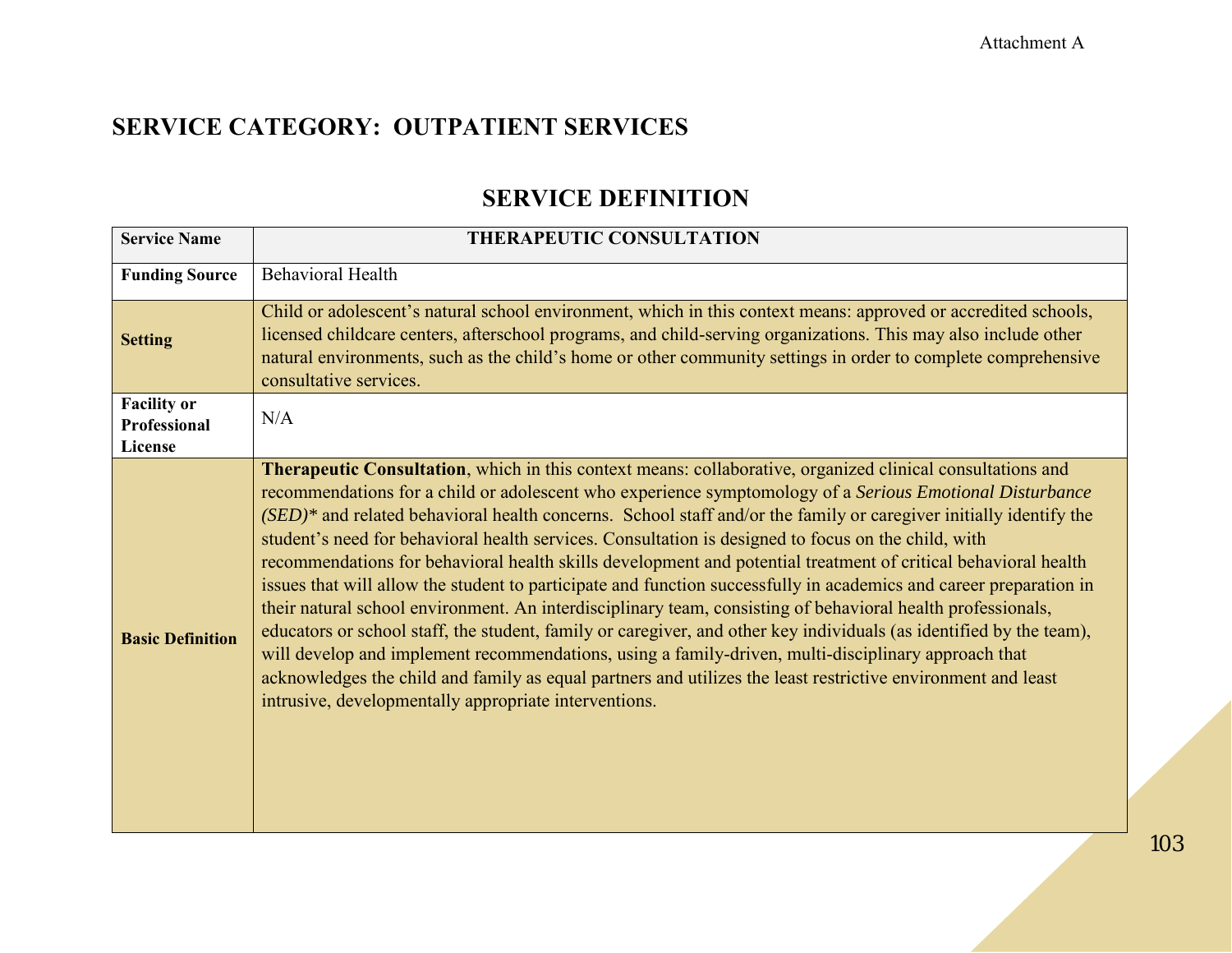### **SERVICE DEFINITION**

| <b>Service Name</b>                           | THERAPEUTIC CONSULTATION                                                                                                                                                                                                                                                                                                                                                                                                                                                                                                                                                                                                                                                                                                                                                                                                                                                                                                                                                                                                                                                                                                                                                                                            |
|-----------------------------------------------|---------------------------------------------------------------------------------------------------------------------------------------------------------------------------------------------------------------------------------------------------------------------------------------------------------------------------------------------------------------------------------------------------------------------------------------------------------------------------------------------------------------------------------------------------------------------------------------------------------------------------------------------------------------------------------------------------------------------------------------------------------------------------------------------------------------------------------------------------------------------------------------------------------------------------------------------------------------------------------------------------------------------------------------------------------------------------------------------------------------------------------------------------------------------------------------------------------------------|
| <b>Funding Source</b>                         | <b>Behavioral Health</b>                                                                                                                                                                                                                                                                                                                                                                                                                                                                                                                                                                                                                                                                                                                                                                                                                                                                                                                                                                                                                                                                                                                                                                                            |
| <b>Setting</b>                                | Child or adolescent's natural school environment, which in this context means: approved or accredited schools,<br>licensed childcare centers, afterschool programs, and child-serving organizations. This may also include other<br>natural environments, such as the child's home or other community settings in order to complete comprehensive<br>consultative services.                                                                                                                                                                                                                                                                                                                                                                                                                                                                                                                                                                                                                                                                                                                                                                                                                                         |
| <b>Facility or</b><br>Professional<br>License | N/A                                                                                                                                                                                                                                                                                                                                                                                                                                                                                                                                                                                                                                                                                                                                                                                                                                                                                                                                                                                                                                                                                                                                                                                                                 |
| <b>Basic Definition</b>                       | Therapeutic Consultation, which in this context means: collaborative, organized clinical consultations and<br>recommendations for a child or adolescent who experience symptomology of a Serious Emotional Disturbance<br>$(SED)^*$ and related behavioral health concerns. School staff and/or the family or caregiver initially identify the<br>student's need for behavioral health services. Consultation is designed to focus on the child, with<br>recommendations for behavioral health skills development and potential treatment of critical behavioral health<br>issues that will allow the student to participate and function successfully in academics and career preparation in<br>their natural school environment. An interdisciplinary team, consisting of behavioral health professionals,<br>educators or school staff, the student, family or caregiver, and other key individuals (as identified by the team),<br>will develop and implement recommendations, using a family-driven, multi-disciplinary approach that<br>acknowledges the child and family as equal partners and utilizes the least restrictive environment and least<br>intrusive, developmentally appropriate interventions. |

103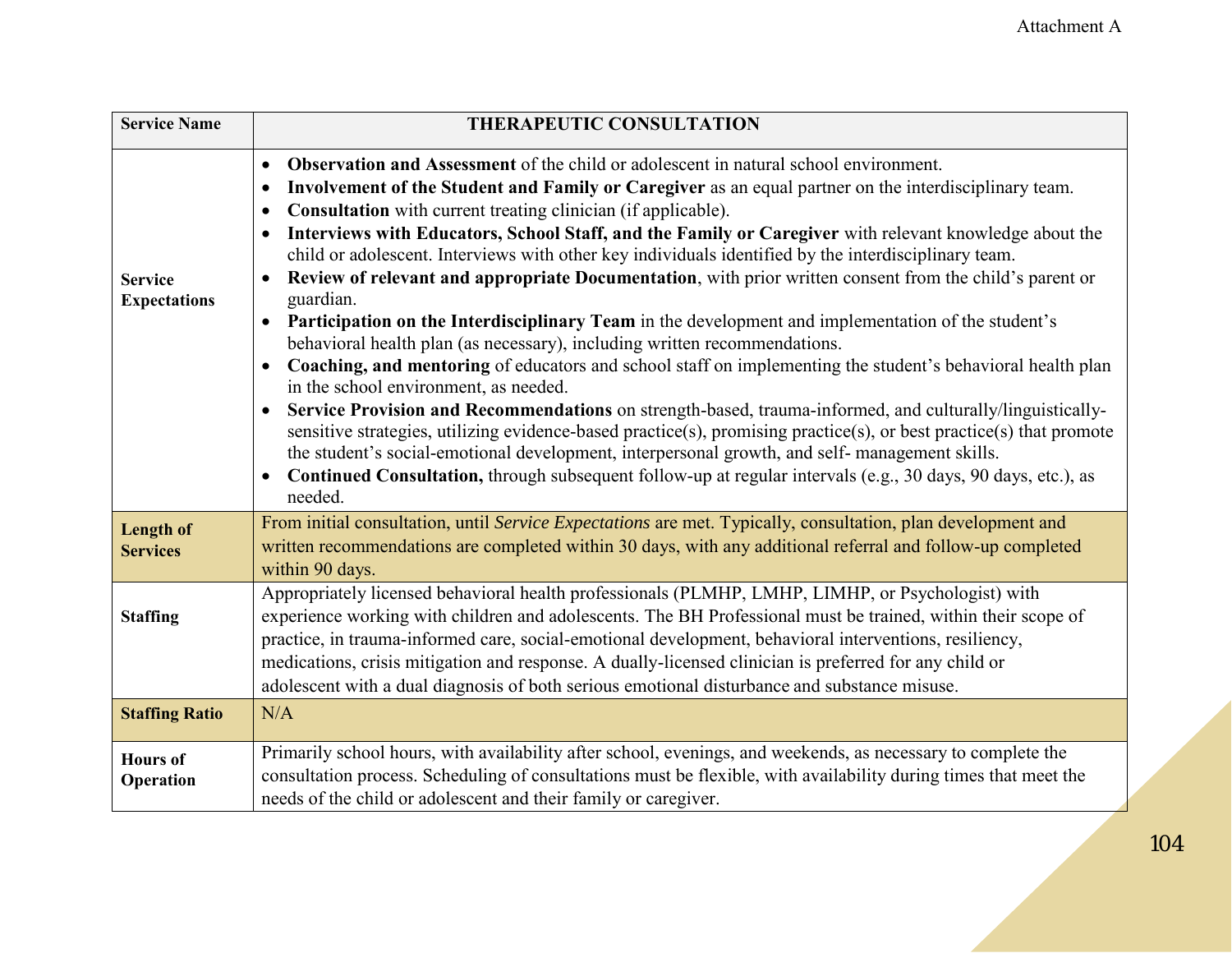| <b>Service Name</b>                   | <b>THERAPEUTIC CONSULTATION</b>                                                                                                                                                                                                                                                                                                                                                                                                                                                                                                                                                                                                                                                                                                                                                                                                                                                                                                                                                                                                                                                                                                                                                                                                                                                                                                                                                                                                                                                                                                                       |
|---------------------------------------|-------------------------------------------------------------------------------------------------------------------------------------------------------------------------------------------------------------------------------------------------------------------------------------------------------------------------------------------------------------------------------------------------------------------------------------------------------------------------------------------------------------------------------------------------------------------------------------------------------------------------------------------------------------------------------------------------------------------------------------------------------------------------------------------------------------------------------------------------------------------------------------------------------------------------------------------------------------------------------------------------------------------------------------------------------------------------------------------------------------------------------------------------------------------------------------------------------------------------------------------------------------------------------------------------------------------------------------------------------------------------------------------------------------------------------------------------------------------------------------------------------------------------------------------------------|
| <b>Service</b><br><b>Expectations</b> | <b>Observation and Assessment</b> of the child or adolescent in natural school environment.<br>$\bullet$<br>Involvement of the Student and Family or Caregiver as an equal partner on the interdisciplinary team.<br>$\bullet$<br><b>Consultation</b> with current treating clinician (if applicable).<br>$\bullet$<br>Interviews with Educators, School Staff, and the Family or Caregiver with relevant knowledge about the<br>$\bullet$<br>child or adolescent. Interviews with other key individuals identified by the interdisciplinary team.<br>Review of relevant and appropriate Documentation, with prior written consent from the child's parent or<br>$\bullet$<br>guardian.<br>Participation on the Interdisciplinary Team in the development and implementation of the student's<br>$\bullet$<br>behavioral health plan (as necessary), including written recommendations.<br>Coaching, and mentoring of educators and school staff on implementing the student's behavioral health plan<br>$\bullet$<br>in the school environment, as needed.<br>Service Provision and Recommendations on strength-based, trauma-informed, and culturally/linguistically-<br>$\bullet$<br>sensitive strategies, utilizing evidence-based practice(s), promising practice(s), or best practice(s) that promote<br>the student's social-emotional development, interpersonal growth, and self- management skills.<br>Continued Consultation, through subsequent follow-up at regular intervals (e.g., 30 days, 90 days, etc.), as<br>$\bullet$<br>needed. |
| <b>Length of</b><br><b>Services</b>   | From initial consultation, until Service Expectations are met. Typically, consultation, plan development and<br>written recommendations are completed within 30 days, with any additional referral and follow-up completed<br>within 90 days.                                                                                                                                                                                                                                                                                                                                                                                                                                                                                                                                                                                                                                                                                                                                                                                                                                                                                                                                                                                                                                                                                                                                                                                                                                                                                                         |
| <b>Staffing</b>                       | Appropriately licensed behavioral health professionals (PLMHP, LMHP, LIMHP, or Psychologist) with<br>experience working with children and adolescents. The BH Professional must be trained, within their scope of<br>practice, in trauma-informed care, social-emotional development, behavioral interventions, resiliency,<br>medications, crisis mitigation and response. A dually-licensed clinician is preferred for any child or<br>adolescent with a dual diagnosis of both serious emotional disturbance and substance misuse.                                                                                                                                                                                                                                                                                                                                                                                                                                                                                                                                                                                                                                                                                                                                                                                                                                                                                                                                                                                                                 |
| <b>Staffing Ratio</b>                 | N/A                                                                                                                                                                                                                                                                                                                                                                                                                                                                                                                                                                                                                                                                                                                                                                                                                                                                                                                                                                                                                                                                                                                                                                                                                                                                                                                                                                                                                                                                                                                                                   |
| <b>Hours</b> of<br>Operation          | Primarily school hours, with availability after school, evenings, and weekends, as necessary to complete the<br>consultation process. Scheduling of consultations must be flexible, with availability during times that meet the<br>needs of the child or adolescent and their family or caregiver.                                                                                                                                                                                                                                                                                                                                                                                                                                                                                                                                                                                                                                                                                                                                                                                                                                                                                                                                                                                                                                                                                                                                                                                                                                                   |